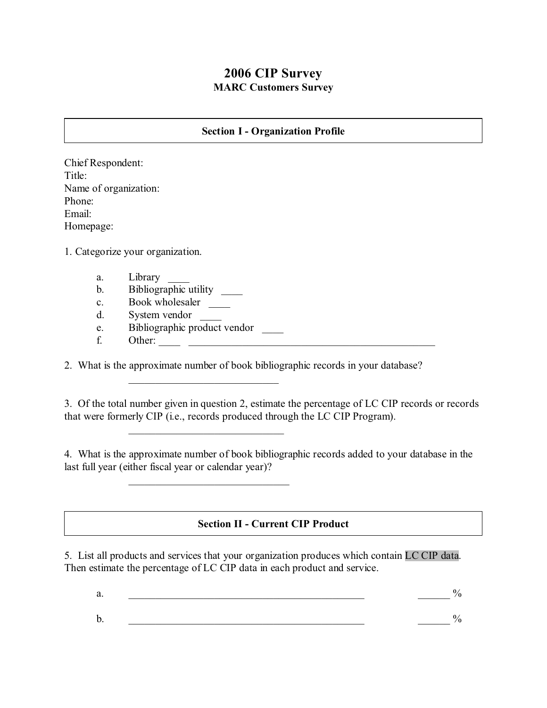## **2006 CIP Survey MARC Customers Survey**

#### **Section I - Organization Profile**

Chief Respondent: Title: Name of organization: Phone: Email: Homepage:

1. Categorize your organization.

- a. Library
- b. Bibliographic utility  $\qquad \qquad$
- c. Book wholesaler
- d. System vendor \_\_\_\_
- e. Bibliographic product vendor

\_\_\_\_\_\_\_\_\_\_\_\_\_\_\_\_\_\_\_\_\_\_\_\_\_\_\_\_

\_\_\_\_\_\_\_\_\_\_\_\_\_\_\_\_\_\_\_\_\_\_\_\_\_\_\_\_\_

\_\_\_\_\_\_\_\_\_\_\_\_\_\_\_\_\_\_\_\_\_\_\_\_\_\_\_\_\_\_

f. Other: \_\_\_\_ \_\_\_\_\_\_\_\_\_\_\_\_\_\_\_\_\_\_\_\_\_\_\_\_\_\_\_\_\_\_\_\_\_\_\_\_\_\_\_\_\_\_\_\_\_\_

2. What is the approximate number of book bibliographic records in your database?

3. Of the total number given in question 2, estimate the percentage of LC CIP records or records that were formerly CIP (i.e., records produced through the LC CIP Program).

4. What is the approximate number of book bibliographic records added to your database in the last full year (either fiscal year or calendar year)?

### **Section II - Current CIP Product**

5. List all products and services that your organization produces which contain LC CIP data. Then estimate the percentage of LC CIP data in each product and service.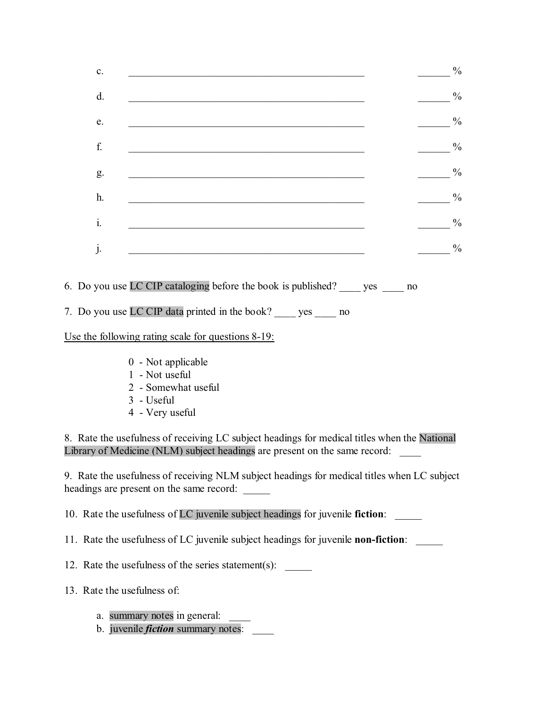| c. | <u> 1980 - John Stone, Amerikaansk politiker (</u> † 1920)                                                            |    | $\frac{0}{0}$ |
|----|-----------------------------------------------------------------------------------------------------------------------|----|---------------|
| d. |                                                                                                                       |    | $\frac{0}{0}$ |
| e. | <u> 1989 - Johann Stoff, deutscher Stoff, der Stoff, der Stoff, der Stoff, der Stoff, der Stoff, der Stoff, der S</u> |    | $\frac{0}{0}$ |
| f. |                                                                                                                       |    | $\frac{0}{0}$ |
| g. |                                                                                                                       |    | $\frac{0}{0}$ |
| h. |                                                                                                                       |    | $\frac{0}{0}$ |
| i. |                                                                                                                       |    | $\frac{0}{0}$ |
| j. |                                                                                                                       |    | $\frac{0}{0}$ |
|    | 6. Do you use LC CIP cataloging before the book is published? _____ yes                                               | no |               |

7. Do you use LC CIP data printed in the book? \_\_\_\_ yes \_\_\_\_ no

Use the following rating scale for questions 8-19:

- 0 Not applicable
- 1 Not useful
- 2 Somewhat useful
- 3 Useful
- 4 Very useful

8. Rate the usefulness of receiving LC subject headings for medical titles when the National Library of Medicine (NLM) subject headings are present on the same record:

9. Rate the usefulness of receiving NLM subject headings for medical titles when LC subject headings are present on the same record:

10. Rate the usefulness of LC juvenile subject headings for juvenile **fiction**: \_\_\_\_\_

11. Rate the usefulness of LC juvenile subject headings for juvenile **non-fiction**: \_\_\_\_\_

12. Rate the usefulness of the series statement(s):

13. Rate the usefulness of:

- a. summary notes in general:
- b. juvenile *fiction* summary notes: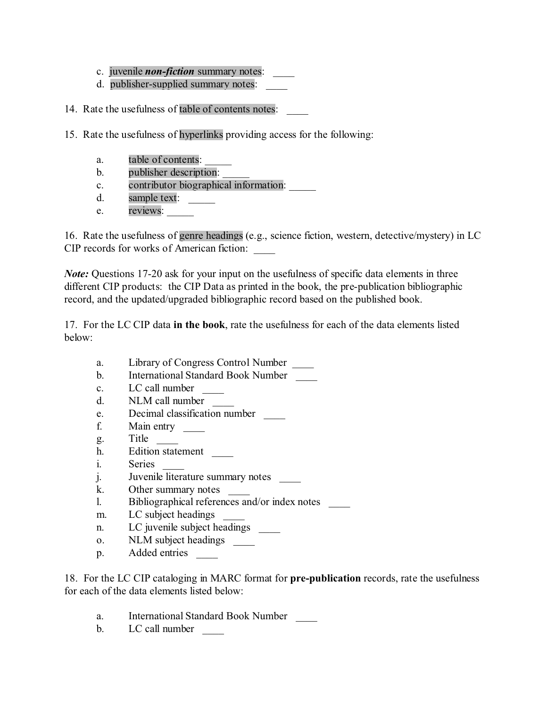- c. juvenile *non-fiction* summary notes:
- d. publisher-supplied summary notes:
- 14. Rate the usefulness of table of contents notes:
- 15. Rate the usefulness of hyperlinks providing access for the following:
	- a. table of contents:
	- b. publisher description:
	- c. contributor biographical information: \_\_\_\_\_
	- d. sample text:
	- e. reviews:

16. Rate the usefulness of genre headings (e.g., science fiction, western, detective/mystery) in LC CIP records for works of American fiction: \_\_\_\_

*Note:* Questions 17-20 ask for your input on the usefulness of specific data elements in three different CIP products: the CIP Data as printed in the book, the pre-publication bibliographic record, and the updated/upgraded bibliographic record based on the published book.

17. For the LC CIP data **in the book**, rate the usefulness for each of the data elements listed below:

- a. Library of Congress Control Number
- b. International Standard Book Number
- c. LC call number \_\_\_\_
- d. NLM call number
- e. Decimal classification number
- f. Main entry \_\_\_\_\_\_
- g. Title
- h. Edition statement
- i. Series
- j. Juvenile literature summary notes
- k. Other summary notes \_\_\_\_
- l. Bibliographical references and/or index notes \_\_\_\_
- m. LC subject headings
- n. LC juvenile subject headings
- o. NLM subject headings \_\_\_\_\_\_
- p. Added entries

18. For the LC CIP cataloging in MARC format for **pre-publication** records, rate the usefulness for each of the data elements listed below:

- a. International Standard Book Number
- b. LC call number \_\_\_\_\_\_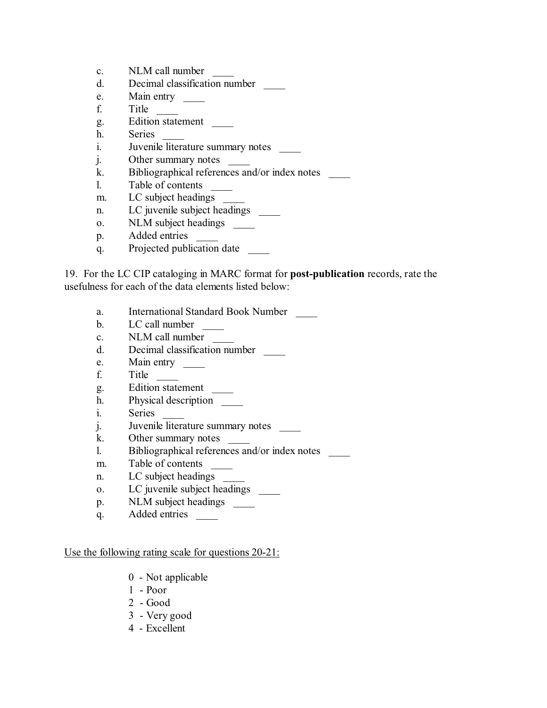- c. NLM call number
- d. Decimal classification number \_\_\_\_
- e. Main entry
- f. Title \_\_\_\_
- g. Edition statement \_\_\_\_
- h. Series
- i. Juvenile literature summary notes
- j. Other summary notes
- k. Bibliographical references and/or index notes
- l. Table of contents \_\_\_\_
- m. LC subject headings
- n. LC juvenile subject headings \_\_\_\_\_\_
- o. NLM subject headings \_\_\_\_\_\_
- p. Added entries
- q. Projected publication date \_\_\_\_

19. For the LC CIP cataloging in MARC format for **post-publication** records, rate the usefulness for each of the data elements listed below:

- a. International Standard Book Number
- b. LC call number
- c. NLM call number
- d. Decimal classification number \_\_\_\_
- e. Main entry \_\_\_\_\_\_
- f. Title \_\_\_\_
- g. Edition statement \_\_\_\_
- h. Physical description \_\_\_\_\_\_
- i. Series
- j. Juvenile literature summary notes
- k. Other summary notes
- l. Bibliographical references and/or index notes \_\_\_\_
- m. Table of contents
- n. LC subject headings
- o. LC juvenile subject headings
- p. NLM subject headings
- q. Added entries \_\_\_\_

#### Use the following rating scale for questions 20-21:

- 0 Not applicable
- 1 Poor
- $2 Good$
- 3 Very good
- 4 Excellent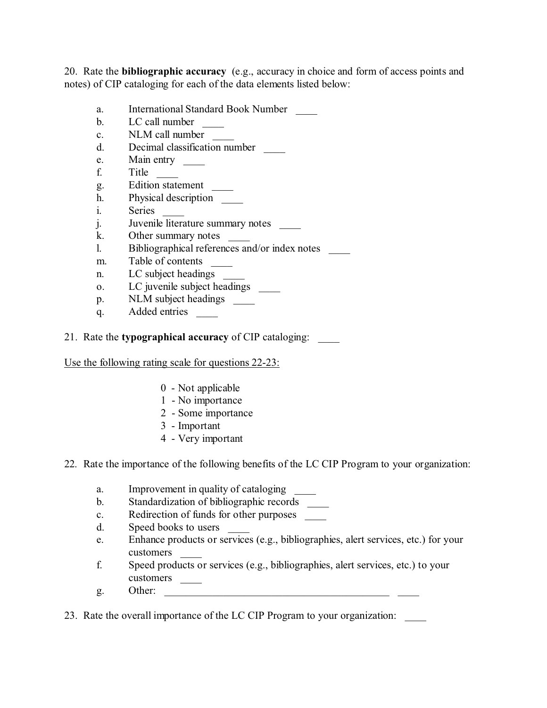20. Rate the **bibliographic accuracy** (e.g., accuracy in choice and form of access points and notes) of CIP cataloging for each of the data elements listed below:

- a. International Standard Book Number
- b. LC call number
- c. NLM call number
- d. Decimal classification number \_\_\_\_
- e. Main entry \_\_\_\_\_
- f. Title \_\_\_\_
- g. Edition statement \_\_\_\_
- h. Physical description
- i. Series
- j. Juvenile literature summary notes
- k. Other summary notes
- l. Bibliographical references and/or index notes
- m. Table of contents \_\_\_\_\_\_
- n. LC subject headings
- o. LC juvenile subject headings
- p. NLM subject headings \_\_\_\_\_
- q. Added entries
- 21. Rate the **typographical accuracy** of CIP cataloging: \_\_\_\_

Use the following rating scale for questions 22-23:

- 0 Not applicable
- 1 No importance
- 2 Some importance
- 3 Important
- 4 Very important
- 22. Rate the importance of the following benefits of the LC CIP Program to your organization:
	- a. Improvement in quality of cataloging
	- b. Standardization of bibliographic records
	- c. Redirection of funds for other purposes
	- d. Speed books to users
	- e. Enhance products or services (e.g., bibliographies, alert services, etc.) for your customers \_\_\_\_
	- f. Speed products or services (e.g., bibliographies, alert services, etc.) to your customers \_\_\_\_\_\_\_
	- g. Other:

23. Rate the overall importance of the LC CIP Program to your organization: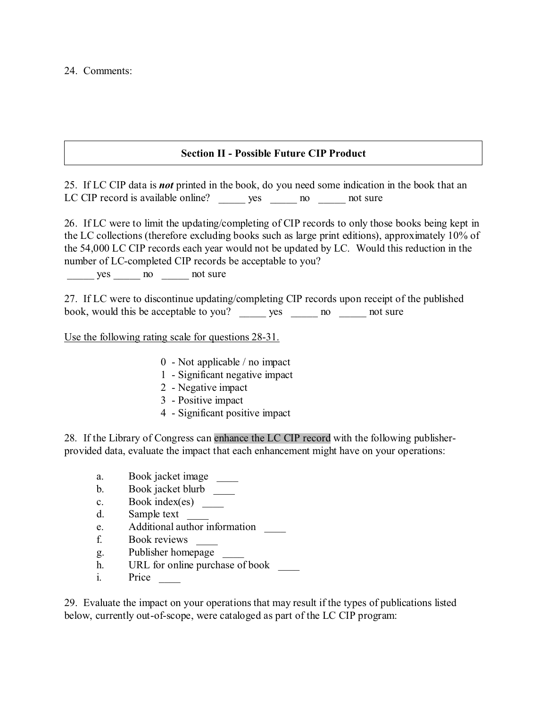#### **Section II - Possible Future CIP Product**

25. If LC CIP data is *not* printed in the book, do you need some indication in the book that an LC CIP record is available online? yes \_\_\_\_\_\_ no \_\_\_\_\_\_ not sure

26. If LC were to limit the updating/completing of CIP records to only those books being kept in the LC collections (therefore excluding books such as large print editions), approximately 10% of the 54,000 LC CIP records each year would not be updated by LC. Would this reduction in the number of LC-completed CIP records be acceptable to you?

yes no not sure

27. If LC were to discontinue updating/completing CIP records upon receipt of the published book, would this be acceptable to you? \_\_\_\_\_\_ yes \_\_\_\_\_\_ no \_\_\_\_\_\_ not sure

Use the following rating scale for questions 28-31.

- 0 Not applicable / no impact
- 1 Significant negative impact
- 2 Negative impact
- 3 Positive impact
- 4 Significant positive impact

28. If the Library of Congress can enhance the LC CIP record with the following publisherprovided data, evaluate the impact that each enhancement might have on your operations:

- a. Book jacket image
- b. Book jacket blurb
- c. Book index(es) \_\_\_\_\_
- d. Sample text
- e. Additional author information \_\_\_\_
- f. Book reviews \_\_\_\_
- g. Publisher homepage
- h. URL for online purchase of book
- i. Price

29. Evaluate the impact on your operations that may result if the types of publications listed below, currently out-of-scope, were cataloged as part of the LC CIP program: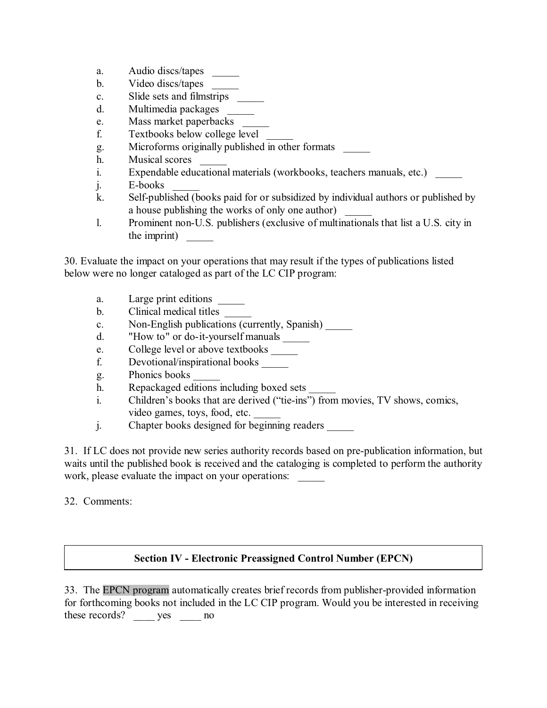- a. Audio discs/tapes
- b. Video discs/tapes
- c. Slide sets and filmstrips
- d. Multimedia packages
- e. Mass market paperbacks
- f. Textbooks below college level \_\_\_\_\_
- g. Microforms originally published in other formats \_\_\_\_\_
- h. Musical scores
- i. Expendable educational materials (workbooks, teachers manuals, etc.)
- j. E-books
- k. Self-published (books paid for or subsidized by individual authors or published by a house publishing the works of only one author)
- l. Prominent non-U.S. publishers (exclusive of multinationals that list a U.S. city in the imprint)

30. Evaluate the impact on your operations that may result if the types of publications listed below were no longer cataloged as part of the LC CIP program:

- a. Large print editions
- b. Clinical medical titles
- c. Non-English publications (currently, Spanish) \_\_\_\_\_
- d. "How to" or do-it-yourself manuals \_\_\_\_\_\_
- e. College level or above textbooks
- f. Devotional/inspirational books \_\_\_\_\_
- g. Phonics books \_\_\_\_\_
- h. Repackaged editions including boxed sets
- i. Children's books that are derived ("tie-ins") from movies, TV shows, comics, video games, toys, food, etc.
- j. Chapter books designed for beginning readers \_\_\_\_\_\_\_\_\_\_\_\_\_\_\_\_\_\_\_\_\_\_\_\_\_\_\_\_\_\_\_\_\_

31. If LC does not provide new series authority records based on pre-publication information, but waits until the published book is received and the cataloging is completed to perform the authority work, please evaluate the impact on your operations:

32. Comments:

## **Section IV - Electronic Preassigned Control Number (EPCN)**

33. The EPCN program automatically creates brief records from publisher-provided information for forthcoming books not included in the LC CIP program. Would you be interested in receiving these records? \_\_\_\_\_ yes \_\_\_\_\_ no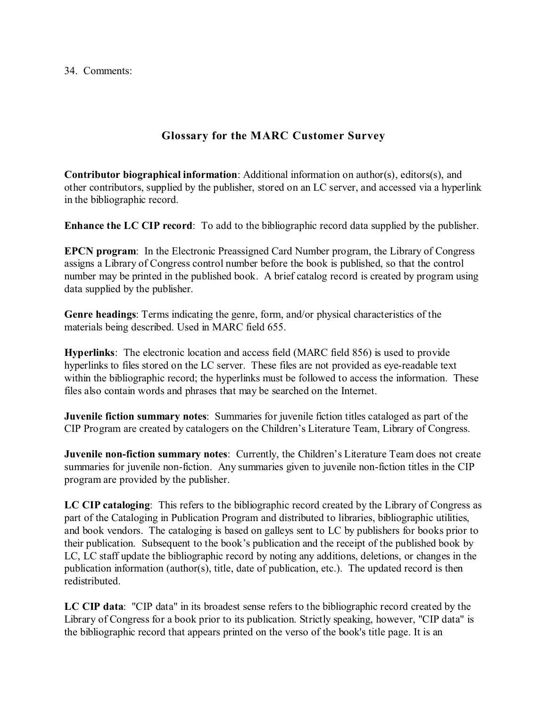34. Comments:

# **Glossary for the MARC Customer Survey**

**Contributor biographical information**: Additional information on author(s), editors(s), and other contributors, supplied by the publisher, stored on an LC server, and accessed via a hyperlink in the bibliographic record.

**Enhance the LC CIP record**: To add to the bibliographic record data supplied by the publisher.

**EPCN program**: In the Electronic Preassigned Card Number program, the Library of Congress assigns a Library of Congress control number before the book is published, so that the control number may be printed in the published book. A brief catalog record is created by program using data supplied by the publisher.

**Genre headings**: Terms indicating the genre, form, and/or physical characteristics of the materials being described. Used in MARC field 655.

**Hyperlinks**: The electronic location and access field (MARC field 856) is used to provide hyperlinks to files stored on the LC server. These files are not provided as eye-readable text within the bibliographic record; the hyperlinks must be followed to access the information. These files also contain words and phrases that may be searched on the Internet.

**Juvenile fiction summary notes**: Summaries for juvenile fiction titles cataloged as part of the CIP Program are created by catalogers on the Children's Literature Team, Library of Congress.

**Juvenile non-fiction summary notes:** Currently, the Children's Literature Team does not create summaries for juvenile non-fiction. Any summaries given to juvenile non-fiction titles in the CIP program are provided by the publisher.

**LC CIP cataloging**: This refers to the bibliographic record created by the Library of Congress as part of the Cataloging in Publication Program and distributed to libraries, bibliographic utilities, and book vendors. The cataloging is based on galleys sent to LC by publishers for books prior to their publication. Subsequent to the book's publication and the receipt of the published book by LC, LC staff update the bibliographic record by noting any additions, deletions, or changes in the publication information (author(s), title, date of publication, etc.). The updated record is then redistributed.

**LC CIP data**: "CIP data" in its broadest sense refers to the bibliographic record created by the Library of Congress for a book prior to its publication. Strictly speaking, however, "CIP data" is the bibliographic record that appears printed on the verso of the book's title page. It is an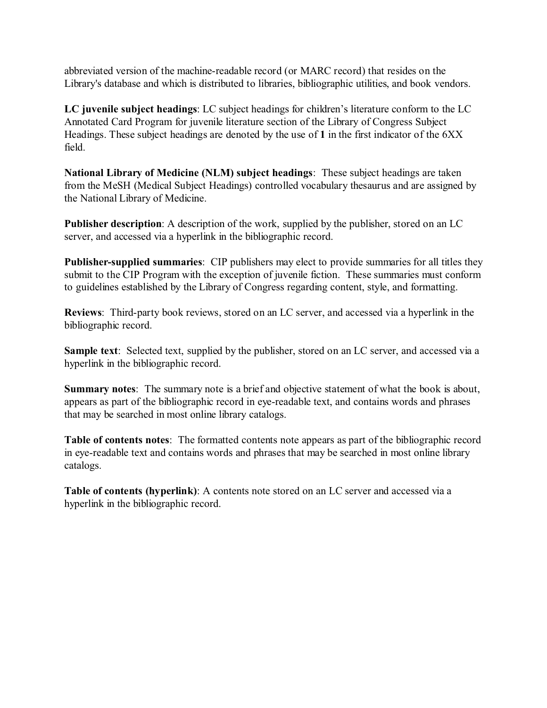abbreviated version of the machine-readable record (or MARC record) that resides on the Library's database and which is distributed to libraries, bibliographic utilities, and book vendors.

**LC juvenile subject headings**: LC subject headings for children's literature conform to the LC Annotated Card Program for juvenile literature section of the Library of Congress Subject Headings. These subject headings are denoted by the use of **1** in the first indicator of the 6XX field.

**National Library of Medicine (NLM) subject headings**: These subject headings are taken from the MeSH (Medical Subject Headings) controlled vocabulary thesaurus and are assigned by the National Library of Medicine.

**Publisher description**: A description of the work, supplied by the publisher, stored on an LC server, and accessed via a hyperlink in the bibliographic record.

**Publisher-supplied summaries**: CIP publishers may elect to provide summaries for all titles they submit to the CIP Program with the exception of juvenile fiction. These summaries must conform to guidelines established by the Library of Congress regarding content, style, and formatting.

**Reviews**: Third-party book reviews, stored on an LC server, and accessed via a hyperlink in the bibliographic record.

**Sample text**: Selected text, supplied by the publisher, stored on an LC server, and accessed via a hyperlink in the bibliographic record.

**Summary notes**: The summary note is a brief and objective statement of what the book is about, appears as part of the bibliographic record in eye-readable text, and contains words and phrases that may be searched in most online library catalogs.

**Table of contents notes**: The formatted contents note appears as part of the bibliographic record in eye-readable text and contains words and phrases that may be searched in most online library catalogs.

**Table of contents (hyperlink)**: A contents note stored on an LC server and accessed via a hyperlink in the bibliographic record.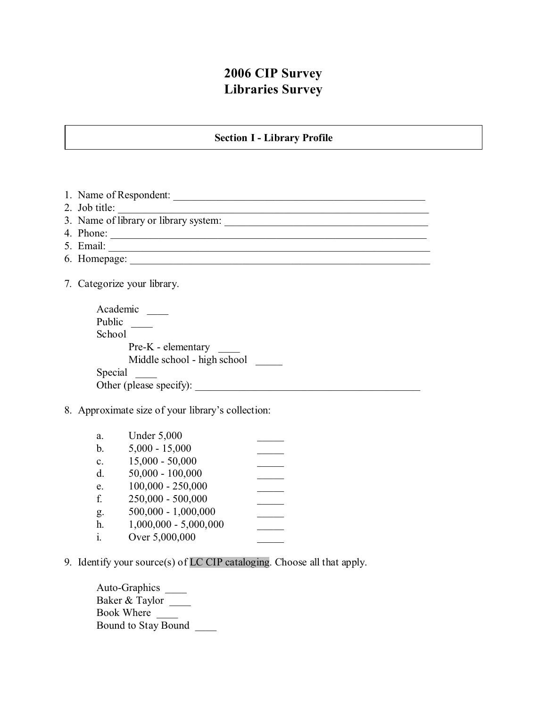# **2006 CIP Survey Libraries Survey**

### **Section I - Library Profile**

1. Name of Respondent: \_\_\_\_\_\_\_\_\_\_\_\_\_\_\_\_\_\_\_\_\_\_\_\_\_\_\_\_\_\_\_\_\_\_\_\_\_\_\_\_\_\_\_\_\_\_\_ 2. Job title: 3. Name of library or library system: 4. Phone: \_\_\_\_\_\_\_\_\_\_\_\_\_\_\_\_\_\_\_\_\_\_\_\_\_\_\_\_\_\_\_\_\_\_\_\_\_\_\_\_\_\_\_\_\_\_\_\_\_\_\_\_\_\_\_\_\_\_\_ 5. Email: \_\_\_\_\_\_\_\_\_\_\_\_\_\_\_\_\_\_\_\_\_\_\_\_\_\_\_\_\_\_\_\_\_\_\_\_\_\_\_\_\_\_\_\_\_\_\_\_\_\_\_\_\_\_\_\_\_\_\_\_ 6. Homepage: \_\_\_\_\_\_\_\_\_\_\_\_\_\_\_\_\_\_\_\_\_\_\_\_\_\_\_\_\_\_\_\_\_\_\_\_\_\_\_\_\_\_\_\_\_\_\_\_\_\_\_\_\_\_\_\_ 7. Categorize your library. Academic \_\_\_\_ Public \_\_\_\_\_\_ School Pre-K - elementary Middle school - high school Special \_\_\_\_ Other (please specify): 8. Approximate size of your library's collection: a. Under 5,000 b.  $5,000 - 15,000$ c. 15,000 - 50,000 \_\_\_\_\_ d. 50,000 - 100,000 \_\_\_\_\_ e.  $100,000 - 250,000$ f. 250,000 - 500,000 \_\_\_\_\_ g.  $500,000 - 1,000,000$ h.  $1,000,000 - 5,000,000$ i. Over  $5,000,000$ 

9. Identify your source(s) of LC CIP cataloging. Choose all that apply.

Auto-Graphics \_\_\_\_\_ Baker & Taylor Book Where Bound to Stay Bound \_\_\_\_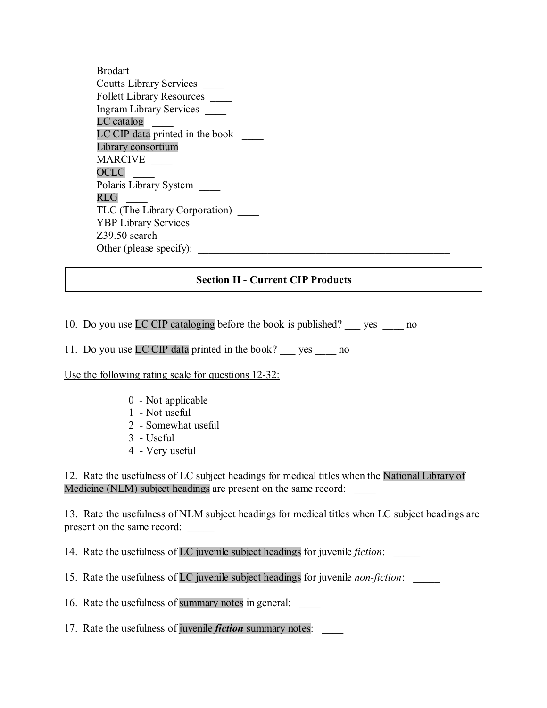Brodart \_\_\_\_ Coutts Library Services \_\_\_\_ Follett Library Resources \_\_\_\_ Ingram Library Services \_\_\_\_  $LC$  catalog LC CIP data printed in the book Library consortium **MARCIVE** OCLC \_\_\_\_ Polaris Library System \_\_\_\_  $RLG$ TLC (The Library Corporation) \_\_\_\_ YBP Library Services \_\_\_\_\_  $Z39.50$  search Other (please specify):

### **Section II - Current CIP Products**

10. Do you use LC CIP cataloging before the book is published? \_\_\_ yes \_\_\_\_ no

11. Do you use LC CIP data printed in the book? yes no

Use the following rating scale for questions 12-32:

- 0 Not applicable
- 1 Not useful
- 2 Somewhat useful
- 3 Useful
- 4 Very useful

12. Rate the usefulness of LC subject headings for medical titles when the National Library of Medicine (NLM) subject headings are present on the same record:

13. Rate the usefulness of NLM subject headings for medical titles when LC subject headings are present on the same record: \_\_\_\_\_

14. Rate the usefulness of LC juvenile subject headings for juvenile *fiction*: \_\_\_\_\_

15. Rate the usefulness of LC juvenile subject headings for juvenile *non-fiction*: \_\_\_\_\_

16. Rate the usefulness of summary notes in general:

17. Rate the usefulness of juvenile *fiction* summary notes: \_\_\_\_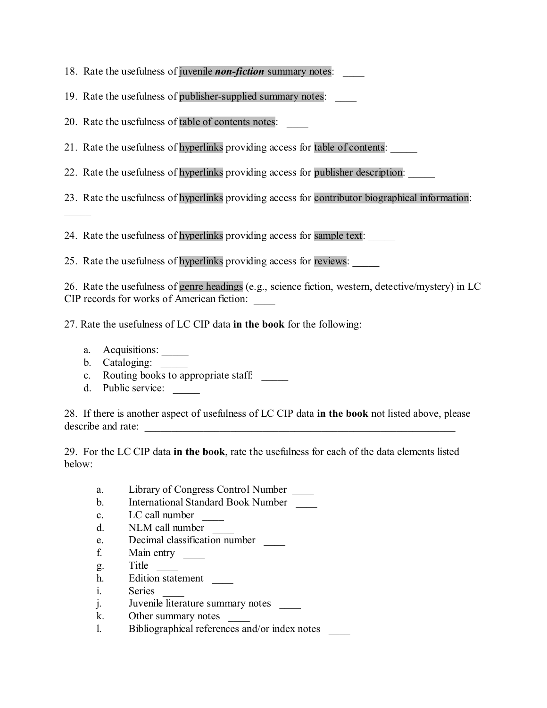- 18. Rate the usefulness of juvenile *non-fiction* summary notes:
- 19. Rate the usefulness of publisher-supplied summary notes: \_\_\_\_
- 20. Rate the usefulness of table of contents notes:
- 21. Rate the usefulness of hyperlinks providing access for table of contents:
- 22. Rate the usefulness of hyperlinks providing access for publisher description:
- 23. Rate the usefulness of hyperlinks providing access for contributor biographical information:

24. Rate the usefulness of hyperlinks providing access for sample text:

25. Rate the usefulness of hyperlinks providing access for reviews:

26. Rate the usefulness of genre headings (e.g., science fiction, western, detective/mystery) in LC CIP records for works of American fiction: \_\_\_\_

27. Rate the usefulness of LC CIP data **in the book** for the following:

a. Acquisitions:

 $\mathcal{L}$ 

- b. Cataloging:
- c. Routing books to appropriate staff.
- d. Public service: \_\_\_\_\_

28. If there is another aspect of usefulness of LC CIP data **in the book** not listed above, please describe and rate:

29. For the LC CIP data **in the book**, rate the usefulness for each of the data elements listed below:

- a. Library of Congress Control Number \_\_\_\_
- b. International Standard Book Number
- c. LC call number
- d. NLM call number \_\_\_\_
- e. Decimal classification number
- f. Main entry \_\_\_\_\_\_
- g. Title \_\_\_\_
- h. Edition statement
- i. Series
- $j.$  Juvenile literature summary notes
- k. Other summary notes
- l. Bibliographical references and/or index notes \_\_\_\_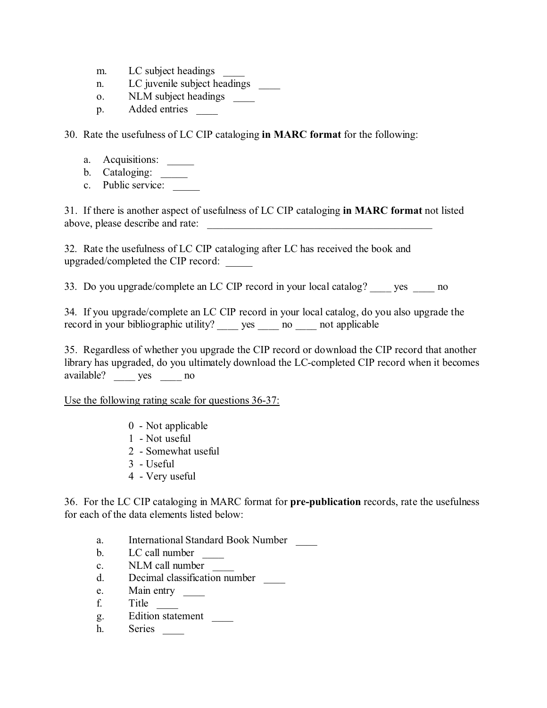- m. LC subject headings
- n. LC juvenile subject headings
- o. NLM subject headings
- p. Added entries

30. Rate the usefulness of LC CIP cataloging **in MARC format** for the following:

- a. Acquisitions: \_\_\_\_\_
- b. Cataloging: \_\_\_\_\_
- c. Public service:

31. If there is another aspect of usefulness of LC CIP cataloging **in MARC format** not listed above, please describe and rate: \_\_\_\_\_\_\_\_\_\_\_\_\_\_\_\_\_\_\_\_\_\_\_\_\_\_\_\_\_\_\_\_\_\_\_\_\_\_\_\_\_\_

32. Rate the usefulness of LC CIP cataloging after LC has received the book and upgraded/completed the CIP record: \_\_\_\_\_

33. Do you upgrade/complete an LC CIP record in your local catalog? yes no

34. If you upgrade/complete an LC CIP record in your local catalog, do you also upgrade the record in your bibliographic utility? yes no applicable

35. Regardless of whether you upgrade the CIP record or download the CIP record that another library has upgraded, do you ultimately download the LC-completed CIP record when it becomes available? \_\_\_\_ yes \_\_\_\_ no

Use the following rating scale for questions 36-37:

- 0 Not applicable
- 1 Not useful
- 2 Somewhat useful
- 3 Useful
- 4 Very useful

36. For the LC CIP cataloging in MARC format for **pre-publication** records, rate the usefulness for each of the data elements listed below:

- a. International Standard Book Number
- b. LC call number
- c. NLM call number
- d. Decimal classification number \_\_\_\_
- e. Main entry
- f. Title  $\frac{1}{\sqrt{2\pi}}$
- g. Edition statement \_\_\_\_
- h. Series \_\_\_\_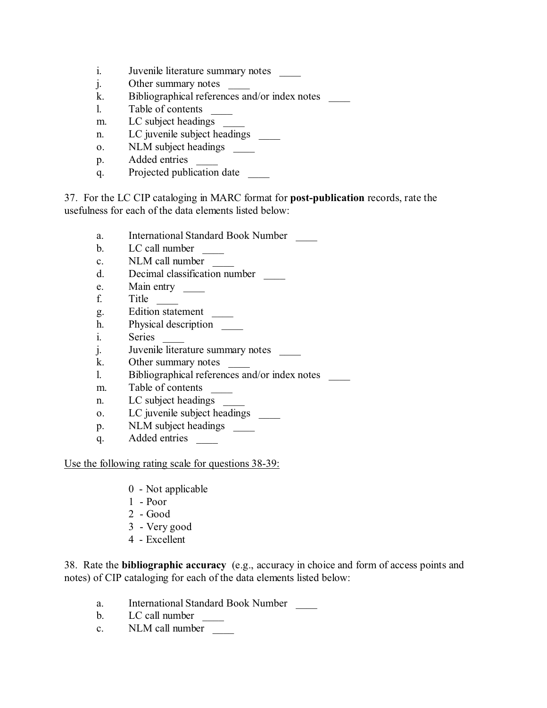- i. Juvenile literature summary notes
- j. Other summary notes
- k. Bibliographical references and/or index notes \_\_\_\_\_
- l. Table of contents \_\_\_\_
- m. LC subject headings
- n. LC juvenile subject headings
- o. NLM subject headings
- p. Added entries
- q. Projected publication date

37. For the LC CIP cataloging in MARC format for **post-publication** records, rate the usefulness for each of the data elements listed below:

- a. International Standard Book Number \_\_\_\_
- b. LC call number
- c. NLM call number
- d. Decimal classification number \_\_\_\_
- e. Main entry \_\_\_\_\_\_
- f. Title \_\_\_\_
- g. Edition statement \_\_\_\_
- h. Physical description
- i. Series
- j. Juvenile literature summary notes
- k. Other summary notes
- l. Bibliographical references and/or index notes \_\_\_\_
- m. Table of contents
- n. LC subject headings
- o. LC juvenile subject headings \_\_\_\_\_\_
- p. NLM subject headings
- q. Added entries

#### Use the following rating scale for questions 38-39:

- 0 Not applicable
- 1 Poor
- 2 Good
- 3 Very good
- 4 Excellent

38. Rate the **bibliographic accuracy** (e.g., accuracy in choice and form of access points and notes) of CIP cataloging for each of the data elements listed below:

- a. International Standard Book Number
- b. LC call number
- c. NLM call number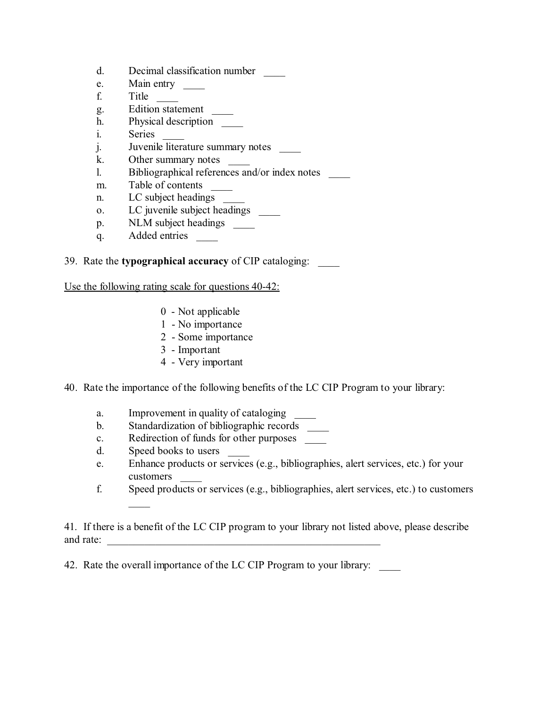- d. Decimal classification number \_\_\_\_
- e. Main entry
- f. Title \_\_\_\_
- g. Edition statement \_\_\_\_\_\_
- h. Physical description
- i. Series
- j. Juvenile literature summary notes
- k. Other summary notes \_\_\_\_
- l. Bibliographical references and/or index notes \_\_\_\_
- m. Table of contents \_\_\_\_\_\_\_
- n. LC subject headings
- o. LC juvenile subject headings
- p. NLM subject headings \_\_\_\_\_\_
- q. Added entries

#### 39. Rate the **typographical accuracy** of CIP cataloging: \_\_\_\_

Use the following rating scale for questions 40-42:

- 0 Not applicable
- 1 No importance
- 2 Some importance
- 3 Important
- 4 Very important

40. Rate the importance of the following benefits of the LC CIP Program to your library:

- a. Improvement in quality of cataloging
- b. Standardization of bibliographic records
- c. Redirection of funds for other purposes
- d. Speed books to users

 $\overline{\phantom{a}}$ 

- e. Enhance products or services (e.g., bibliographies, alert services, etc.) for your customers \_\_\_\_
- f. Speed products or services (e.g., bibliographies, alert services, etc.) to customers

41. If there is a benefit of the LC CIP program to your library not listed above, please describe and rate:

42. Rate the overall importance of the LC CIP Program to your library: \_\_\_\_\_\_\_\_\_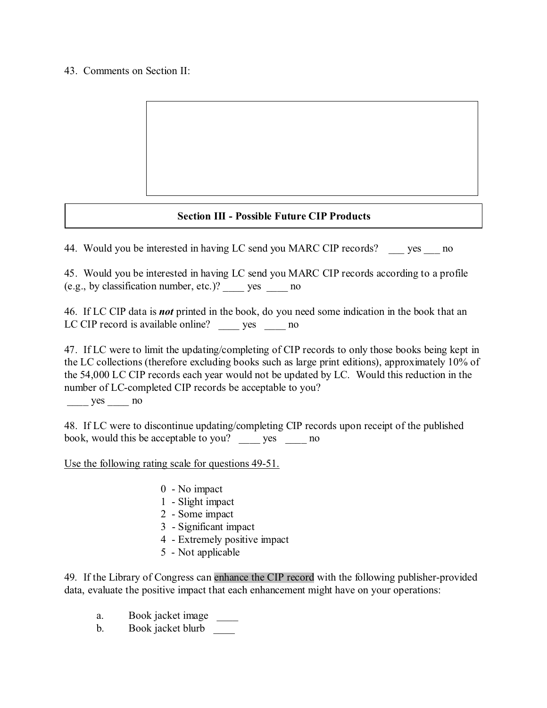#### 43. Comments on Section II:

## **Section III - Possible Future CIP Products**

44. Would you be interested in having LC send you MARC CIP records? yes no

45. Would you be interested in having LC send you MARC CIP records according to a profile (e.g., by classification number, etc.)? \_\_\_\_ yes \_\_\_\_ no

46. If LC CIP data is *not* printed in the book, do you need some indication in the book that an LC CIP record is available online? \_\_\_\_\_ yes \_\_\_\_\_ no

47. If LC were to limit the updating/completing of CIP records to only those books being kept in the LC collections (therefore excluding books such as large print editions), approximately 10% of the 54,000 LC CIP records each year would not be updated by LC. Would this reduction in the number of LC-completed CIP records be acceptable to you?

\_\_\_\_ yes \_\_\_\_ no

48. If LC were to discontinue updating/completing CIP records upon receipt of the published book, would this be acceptable to you? yes no

Use the following rating scale for questions 49-51.

- 0 No impact
- 1 Slight impact
- 2 Some impact
- 3 Significant impact
- 4 Extremely positive impact
- 5 Not applicable

49. If the Library of Congress can enhance the CIP record with the following publisher-provided data, evaluate the positive impact that each enhancement might have on your operations:

- a. Book jacket image
- b. Book jacket blurb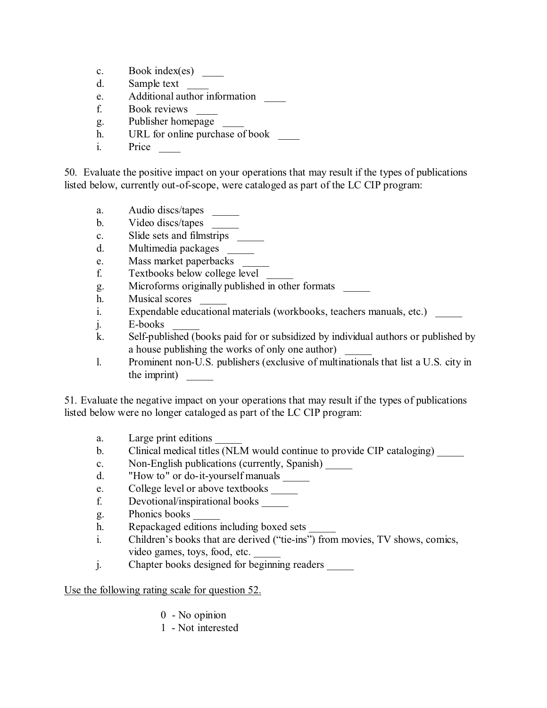- c. Book index(es) \_\_\_\_
- d. Sample text
- e. Additional author information
- f. Book reviews \_\_\_\_
- g. Publisher homepage
- h. URL for online purchase of book
- i. Price

50. Evaluate the positive impact on your operations that may result if the types of publications listed below, currently out-of-scope, were cataloged as part of the LC CIP program:

- a. Audio discs/tapes
- b. Video discs/tapes
- c. Slide sets and filmstrips \_\_\_\_\_
- d. Multimedia packages \_\_\_\_\_
- e. Mass market paperbacks \_\_\_\_\_
- f. Textbooks below college level \_\_\_\_\_
- g. Microforms originally published in other formats \_\_\_\_\_
- h. Musical scores
- i. Expendable educational materials (workbooks, teachers manuals, etc.)
- j. E-books
- k. Self-published (books paid for or subsidized by individual authors or published by a house publishing the works of only one author)
- l. Prominent non-U.S. publishers (exclusive of multinationals that list a U.S. city in the imprint)

51. Evaluate the negative impact on your operations that may result if the types of publications listed below were no longer cataloged as part of the LC CIP program:

- a. Large print editions
- b. Clinical medical titles (NLM would continue to provide CIP cataloging)
- c. Non-English publications (currently, Spanish) \_\_\_\_\_
- d. "How to" or do-it-yourself manuals
- e. College level or above textbooks
- f. Devotional/inspirational books \_\_\_\_\_
- g. Phonics books \_\_\_\_\_
- h. Repackaged editions including boxed sets
- i. Children's books that are derived ("tie-ins") from movies, TV shows, comics, video games, toys, food, etc.
- j. Chapter books designed for beginning readers

Use the following rating scale for question 52.

- 0 No opinion
- 1 Not interested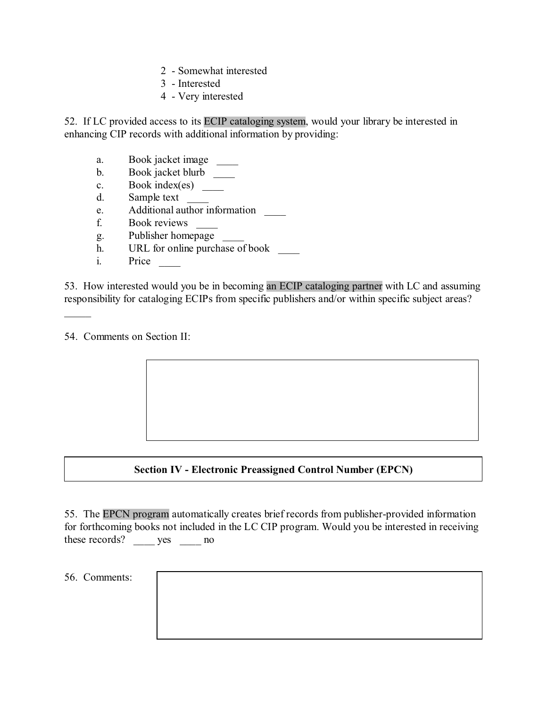- 2 Somewhat interested
- 3 Interested
- 4 Very interested

52. If LC provided access to its ECIP cataloging system, would your library be interested in enhancing CIP records with additional information by providing:

- a. Book jacket image \_\_\_\_\_\_
- b. Book jacket blurb \_\_\_\_\_
- c. Book index(es) \_\_\_\_\_
- d. Sample text
- e. Additional author information
- f. Book reviews \_\_\_\_
- g. Publisher homepage \_\_\_\_
- h. URL for online purchase of book
- i. Price \_\_\_\_\_\_\_\_

53. How interested would you be in becoming an ECIP cataloging partner with LC and assuming responsibility for cataloging ECIPs from specific publishers and/or within specific subject areas?

54. Comments on Section II:

 $\mathcal{L}$ 

# **Section IV - Electronic Preassigned Control Number (EPCN)**

55. The EPCN program automatically creates brief records from publisher-provided information for forthcoming books not included in the LC CIP program. Would you be interested in receiving these records? \_\_\_\_\_ yes \_\_\_\_\_ no

56. Comments: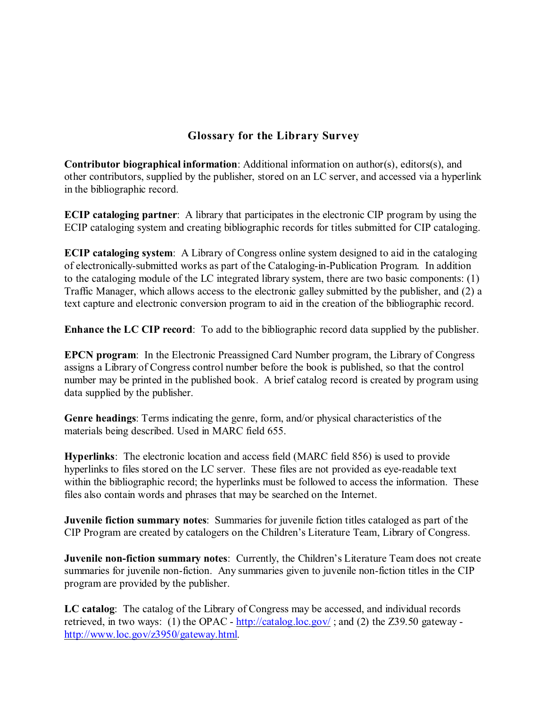# **Glossary for the Library Survey**

**Contributor biographical information**: Additional information on author(s), editors(s), and other contributors, supplied by the publisher, stored on an LC server, and accessed via a hyperlink in the bibliographic record.

**ECIP cataloging partner**: A library that participates in the electronic CIP program by using the ECIP cataloging system and creating bibliographic records for titles submitted for CIP cataloging.

**ECIP cataloging system**: A Library of Congress online system designed to aid in the cataloging of electronically-submitted works as part of the Cataloging-in-Publication Program. In addition to the cataloging module of the LC integrated library system, there are two basic components: (1) Traffic Manager, which allows access to the electronic galley submitted by the publisher, and (2) a text capture and electronic conversion program to aid in the creation of the bibliographic record.

**Enhance the LC CIP record**: To add to the bibliographic record data supplied by the publisher.

**EPCN program**: In the Electronic Preassigned Card Number program, the Library of Congress assigns a Library of Congress control number before the book is published, so that the control number may be printed in the published book. A brief catalog record is created by program using data supplied by the publisher.

**Genre headings**: Terms indicating the genre, form, and/or physical characteristics of the materials being described. Used in MARC field 655.

**Hyperlinks**: The electronic location and access field (MARC field 856) is used to provide hyperlinks to files stored on the LC server. These files are not provided as eye-readable text within the bibliographic record; the hyperlinks must be followed to access the information. These files also contain words and phrases that may be searched on the Internet.

**Juvenile fiction summary notes**: Summaries for juvenile fiction titles cataloged as part of the CIP Program are created by catalogers on the Children's Literature Team, Library of Congress.

**Juvenile non-fiction summary notes**: Currently, the Children's Literature Team does not create summaries for juvenile non-fiction. Any summaries given to juvenile non-fiction titles in the CIP program are provided by the publisher.

**LC catalog**: The catalog of the Library of Congress may be accessed, and individual records retrieved, in two ways: (1) the OPAC -<http://catalog.loc.gov/> ; and (2) the Z39.50 gateway <http://www.loc.gov/z3950/gateway.html>.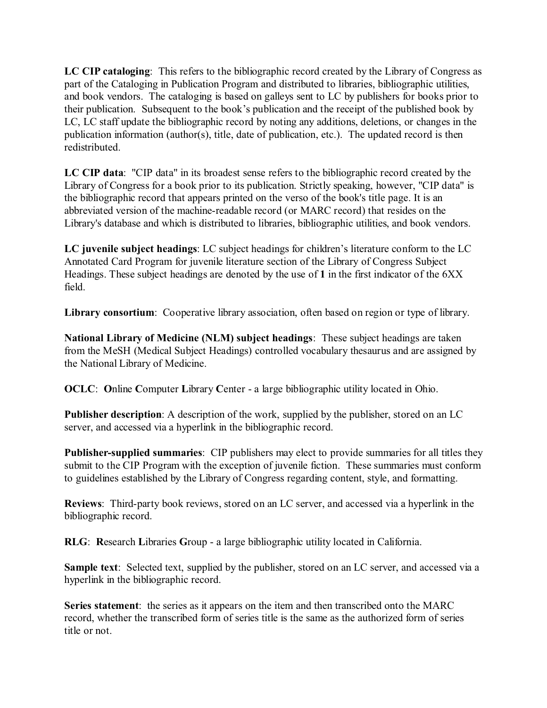**LC CIP cataloging**: This refers to the bibliographic record created by the Library of Congress as part of the Cataloging in Publication Program and distributed to libraries, bibliographic utilities, and book vendors. The cataloging is based on galleys sent to LC by publishers for books prior to their publication. Subsequent to the book's publication and the receipt of the published book by LC, LC staff update the bibliographic record by noting any additions, deletions, or changes in the publication information (author(s), title, date of publication, etc.). The updated record is then redistributed.

**LC CIP data**: "CIP data" in its broadest sense refers to the bibliographic record created by the Library of Congress for a book prior to its publication. Strictly speaking, however, "CIP data" is the bibliographic record that appears printed on the verso of the book's title page. It is an abbreviated version of the machine-readable record (or MARC record) that resides on the Library's database and which is distributed to libraries, bibliographic utilities, and book vendors.

**LC juvenile subject headings**: LC subject headings for children's literature conform to the LC Annotated Card Program for juvenile literature section of the Library of Congress Subject Headings. These subject headings are denoted by the use of **1** in the first indicator of the 6XX field.

**Library consortium**: Cooperative library association, often based on region or type of library.

**National Library of Medicine (NLM) subject headings**: These subject headings are taken from the MeSH (Medical Subject Headings) controlled vocabulary thesaurus and are assigned by the National Library of Medicine.

**OCLC**: **O**nline **C**omputer **L**ibrary **C**enter - a large bibliographic utility located in Ohio.

**Publisher description**: A description of the work, supplied by the publisher, stored on an LC server, and accessed via a hyperlink in the bibliographic record.

**Publisher-supplied summaries**: CIP publishers may elect to provide summaries for all titles they submit to the CIP Program with the exception of juvenile fiction. These summaries must conform to guidelines established by the Library of Congress regarding content, style, and formatting.

**Reviews**: Third-party book reviews, stored on an LC server, and accessed via a hyperlink in the bibliographic record.

**RLG**: **R**esearch **L**ibraries **G**roup - a large bibliographic utility located in California.

**Sample text**: Selected text, supplied by the publisher, stored on an LC server, and accessed via a hyperlink in the bibliographic record.

**Series statement**: the series as it appears on the item and then transcribed onto the MARC record, whether the transcribed form of series title is the same as the authorized form of series title or not.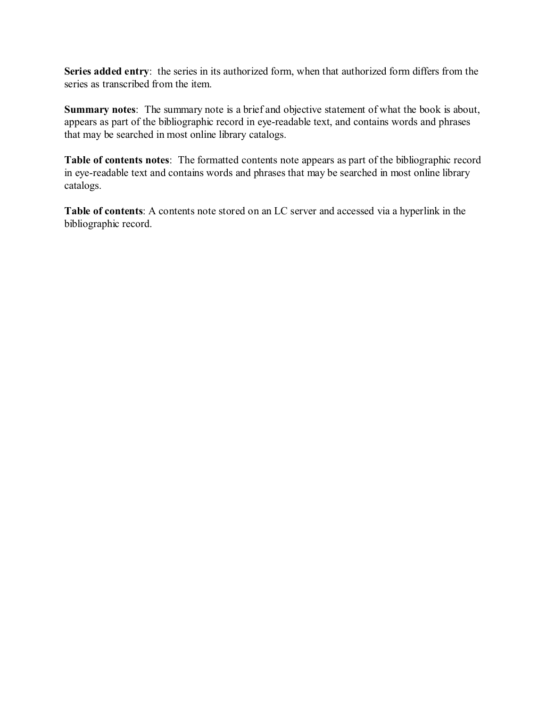Series added entry: the series in its authorized form, when that authorized form differs from the series as transcribed from the item.

**Summary notes**: The summary note is a brief and objective statement of what the book is about, appears as part of the bibliographic record in eye-readable text, and contains words and phrases that may be searched in most online library catalogs.

**Table of contents notes**: The formatted contents note appears as part of the bibliographic record in eye-readable text and contains words and phrases that may be searched in most online library catalogs.

**Table of contents**: A contents note stored on an LC server and accessed via a hyperlink in the bibliographic record.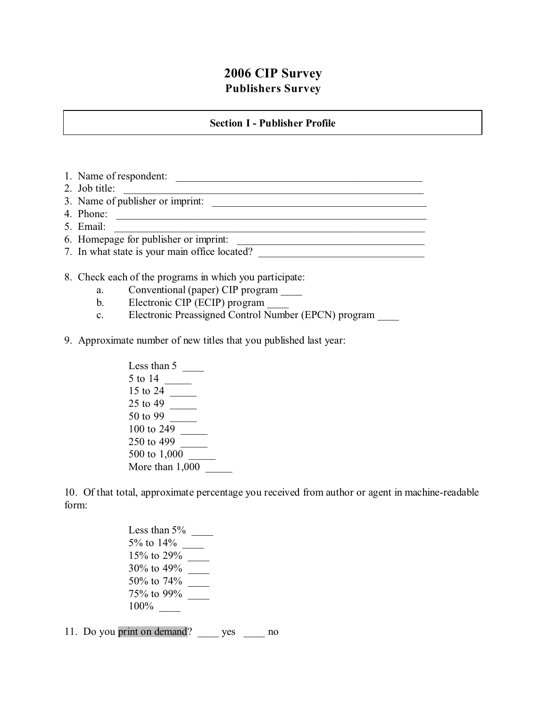# **2006 CIP Survey Publishers Survey**

#### **Section I - Publisher Profile**

1. Name of respondent: 2. Job title: 3. Name of publisher or imprint: 4. Phone: \_\_\_\_\_\_\_\_\_\_\_\_\_\_\_\_\_\_\_\_\_\_\_\_\_\_\_\_\_\_\_\_\_\_\_\_\_\_\_\_\_\_\_\_\_\_\_\_\_\_\_\_\_\_\_\_\_\_ 5. Email: \_\_\_\_\_\_\_\_\_\_\_\_\_\_\_\_\_\_\_\_\_\_\_\_\_\_\_\_\_\_\_\_\_\_\_\_\_\_\_\_\_\_\_\_\_\_\_\_\_\_\_\_\_\_\_\_\_\_ 6. Homepage for publisher or imprint: \_\_\_\_\_\_\_\_\_\_\_\_\_\_\_\_\_\_\_\_\_\_\_\_\_\_\_\_\_\_\_\_\_\_\_ 7. In what state is your main office located?

8. Check each of the programs in which you participate:

- a. Conventional (paper) CIP program
- b. Electronic CIP (ECIP) program
- c. Electronic Preassigned Control Number (EPCN) program
- 9. Approximate number of new titles that you published last year:

Less than  $5 \_\_\_\_\_\_\_\_\$ 5 to 14 \_\_\_\_\_ 15 to 24 \_\_\_\_\_ 25 to 49 \_\_\_\_\_ 50 to 99 \_\_\_\_\_ 100 to 249 \_\_\_\_\_ 250 to 499 \_\_\_\_\_ 500 to 1,000 More than  $1,000$ 

10. Of that total, approximate percentage you received from author or agent in machine-readable form:

> Less than  $5\%$ 5% to 14% \_\_\_\_ 15% to 29% \_\_\_\_ 30% to 49% \_\_\_\_ 50% to 74% \_\_\_\_ 75% to 99% \_\_\_\_ 100% \_\_\_\_

11. Do you print on demand? \_\_\_\_ yes \_\_\_\_ no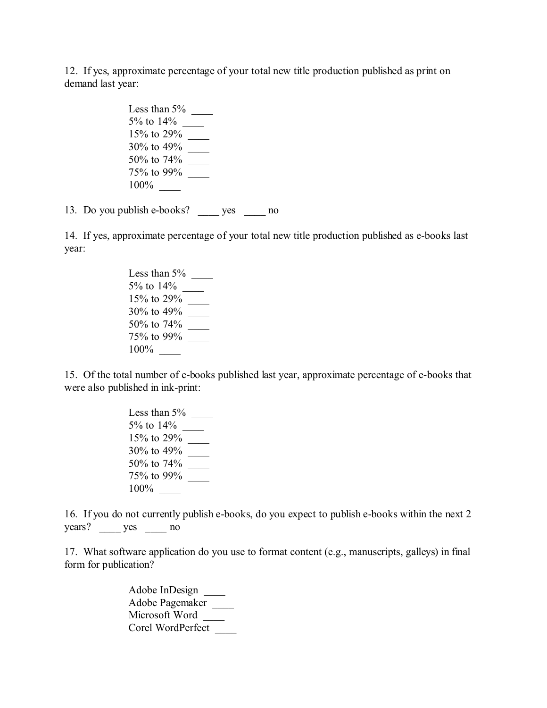12. If yes, approximate percentage of your total new title production published as print on demand last year:

> Less than 5% \_\_\_\_ 5% to 14% \_\_\_\_ 15% to 29% \_\_\_\_ 30% to 49% \_\_\_\_ 50% to 74% \_\_\_\_ 75% to 99% \_\_\_\_ 100% \_\_\_\_

13. Do you publish e-books? \_\_\_\_ yes \_\_\_\_ no

14. If yes, approximate percentage of your total new title production published as e-books last year:

> Less than 5% \_\_\_\_ 5% to 14% \_\_\_\_ 15% to 29% \_\_\_\_ 30% to 49% \_\_\_\_ 50% to 74% \_\_\_\_ 75% to 99% \_\_\_\_ 100%

15. Of the total number of e-books published last year, approximate percentage of e-books that were also published in ink-print:

> Less than 5% \_\_\_\_ 5% to 14% \_\_\_\_ 15% to 29% \_\_\_\_ 30% to 49% \_\_\_\_ 50% to 74% \_\_\_\_ 75% to 99% \_\_\_\_ 100% \_\_\_\_

16. If you do not currently publish e-books, do you expect to publish e-books within the next 2 years? yes no

17. What software application do you use to format content (e.g., manuscripts, galleys) in final form for publication?

> Adobe InDesign \_\_\_\_ Adobe Pagemaker \_\_\_\_ Microsoft Word \_\_\_\_\_ Corel WordPerfect \_\_\_\_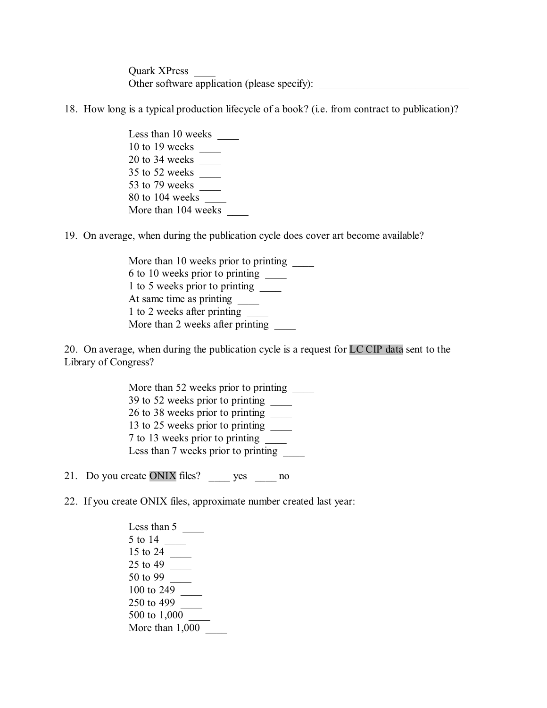Quark XPress \_\_\_\_ Other software application (please specify):

18. How long is a typical production lifecycle of a book? (i.e. from contract to publication)?

Less than 10 weeks 10 to 19 weeks \_\_\_\_ 20 to 34 weeks \_\_\_\_ 35 to 52 weeks \_\_\_\_ 53 to 79 weeks \_\_\_\_ 80 to 104 weeks \_\_\_\_ More than 104 weeks

19. On average, when during the publication cycle does cover art become available?

More than 10 weeks prior to printing \_\_\_\_\_\_ 6 to 10 weeks prior to printing \_\_\_\_ 1 to 5 weeks prior to printing \_\_\_\_ At same time as printing \_\_\_\_\_\_ 1 to 2 weeks after printing More than 2 weeks after printing \_\_\_\_

20. On average, when during the publication cycle is a request for LC CIP data sent to the Library of Congress?

> More than 52 weeks prior to printing 39 to 52 weeks prior to printing \_\_\_\_ 26 to 38 weeks prior to printing \_\_\_\_ 13 to 25 weeks prior to printing \_\_\_\_ 7 to 13 weeks prior to printing \_\_\_\_ Less than 7 weeks prior to printing

21. Do you create ONIX files? \_\_\_\_ yes \_\_\_\_ no

22. If you create ONIX files, approximate number created last year:

Less than 5 5 to 14 \_\_\_\_ 15 to 24 \_\_\_\_\_\_ 25 to 49 \_\_\_\_ 50 to 99 \_\_\_\_ 100 to 249 250 to 499 500 to 1,000 More than 1,000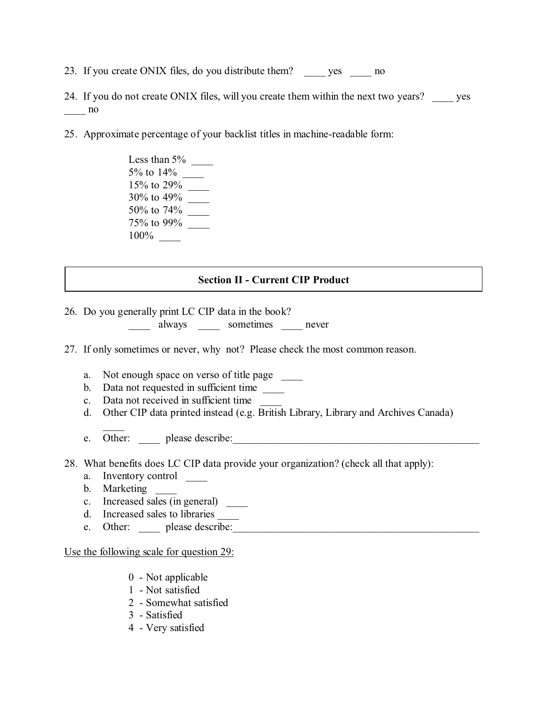- 23. If you create ONIX files, do you distribute them? \_\_\_\_\_ yes \_\_\_\_\_ no
- 24. If you do not create ONIX files, will you create them within the next two years? \_\_\_\_\_ yes  $\frac{1}{2}$  no
- 25. Approximate percentage of your backlist titles in machine-readable form:
	- Less than 5% \_\_\_\_ 5% to 14% \_\_\_\_ 15% to 29% \_\_\_\_ 30% to 49% \_\_\_\_ 50% to 74% \_\_\_\_ 75% to 99% \_\_\_\_ 100% \_\_\_\_

### **Section II - Current CIP Product**

26. Do you generally print LC CIP data in the book?

\_\_\_\_ always \_\_\_\_ sometimes \_\_\_\_ never

- 27. If only sometimes or never, why not? Please check the most common reason.
	- a. Not enough space on verso of title page
	- b. Data not requested in sufficient time
	- c. Data not received in sufficient time
	- d. Other CIP data printed instead (e.g. British Library, Library and Archives Canada)
	- e. Other: please describe:
- 28. What benefits does LC CIP data provide your organization? (check all that apply):
	- a. Inventory control
	- b. Marketing

 $\overline{\phantom{a}}$ 

- c. Increased sales (in general) \_\_\_\_
- d. Increased sales to libraries
- e. Other: please describe:

Use the following scale for question 29:

- 0 Not applicable
- 1 Not satisfied
- 2 Somewhat satisfied
- 3 Satisfied
- 4 Very satisfied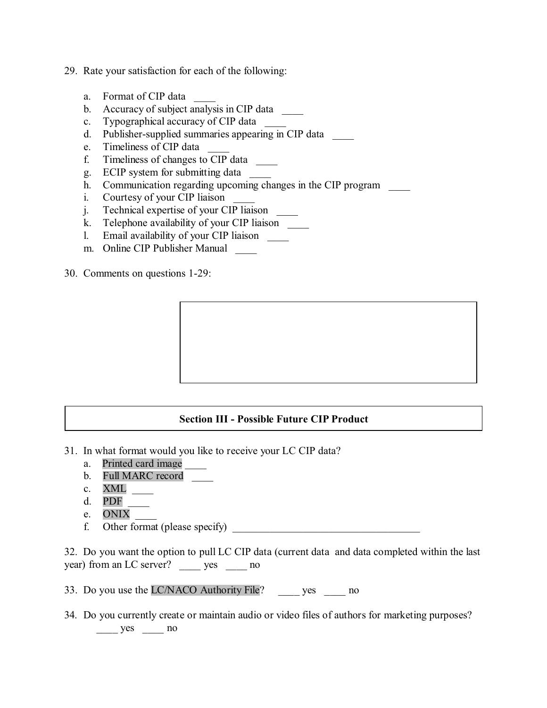- 29. Rate your satisfaction for each of the following:
	- a. Format of CIP data
	- b. Accuracy of subject analysis in CIP data \_\_\_\_
	- c. Typographical accuracy of CIP data
	- d. Publisher-supplied summaries appearing in CIP data
	- e. Timeliness of CIP data
	- f. Timeliness of changes to CIP data \_\_\_\_
	- g. ECIP system for submitting data \_\_\_\_
	- h. Communication regarding upcoming changes in the CIP program
	- i. Courtesy of your CIP liaison
	- j. Technical expertise of your CIP liaison \_\_\_\_
	- k. Telephone availability of your CIP liaison
	- l. Email availability of your CIP liaison \_\_\_\_
	- m. Online CIP Publisher Manual
- 30. Comments on questions 1-29:

#### **Section III - Possible Future CIP Product**

- 31. In what format would you like to receive your LC CIP data?
	- a. Printed card image
	- b. Full MARC record
	- c. XML
	- d. PDF
	- e. ONIX \_\_\_\_
	- f. Other format (please specify)

32. Do you want the option to pull LC CIP data (current data and data completed within the last year) from an LC server? yes ho

- 33. Do you use the LC/NACO Authority File? \_\_\_\_ yes \_\_\_\_ no
- 34. Do you currently create or maintain audio or video files of authors for marketing purposes?  $\frac{\text{yes}}{\text{yes}}$  no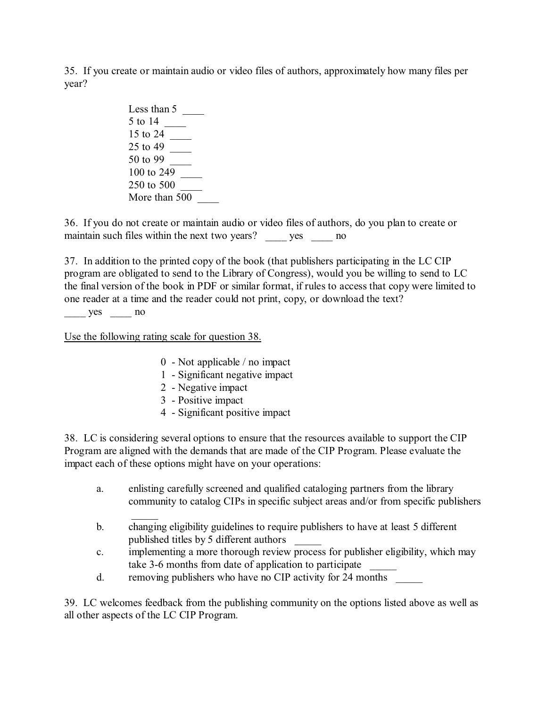35. If you create or maintain audio or video files of authors, approximately how many files per year?

> Less than 5 5 to 14 \_\_\_\_ 15 to 24 \_\_\_\_ 25 to 49 \_\_\_\_ 50 to 99 \_\_\_\_ 100 to 249 \_\_\_\_ 250 to 500 \_\_\_\_ More than 500

36. If you do not create or maintain audio or video files of authors, do you plan to create or maintain such files within the next two years? yes ho

37. In addition to the printed copy of the book (that publishers participating in the LC CIP program are obligated to send to the Library of Congress), would you be willing to send to LC the final version of the book in PDF or similar format, if rules to access that copy were limited to one reader at a time and the reader could not print, copy, or download the text?

yes no

Use the following rating scale for question 38.

- 0 Not applicable / no impact
- 1 Significant negative impact
- 2 Negative impact
- 3 Positive impact
- 4 Significant positive impact

38. LC is considering several options to ensure that the resources available to support the CIP Program are aligned with the demands that are made of the CIP Program. Please evaluate the impact each of these options might have on your operations:

- a. enlisting carefully screened and qualified cataloging partners from the library community to catalog CIPs in specific subject areas and/or from specific publishers
- $\frac{1}{2}$ b. changing eligibility guidelines to require publishers to have at least 5 different published titles by 5 different authors \_\_\_\_\_
- c. implementing a more thorough review process for publisher eligibility, which may take 3-6 months from date of application to participate
- d. removing publishers who have no CIP activity for 24 months

39. LC welcomes feedback from the publishing community on the options listed above as well as all other aspects of the LC CIP Program.